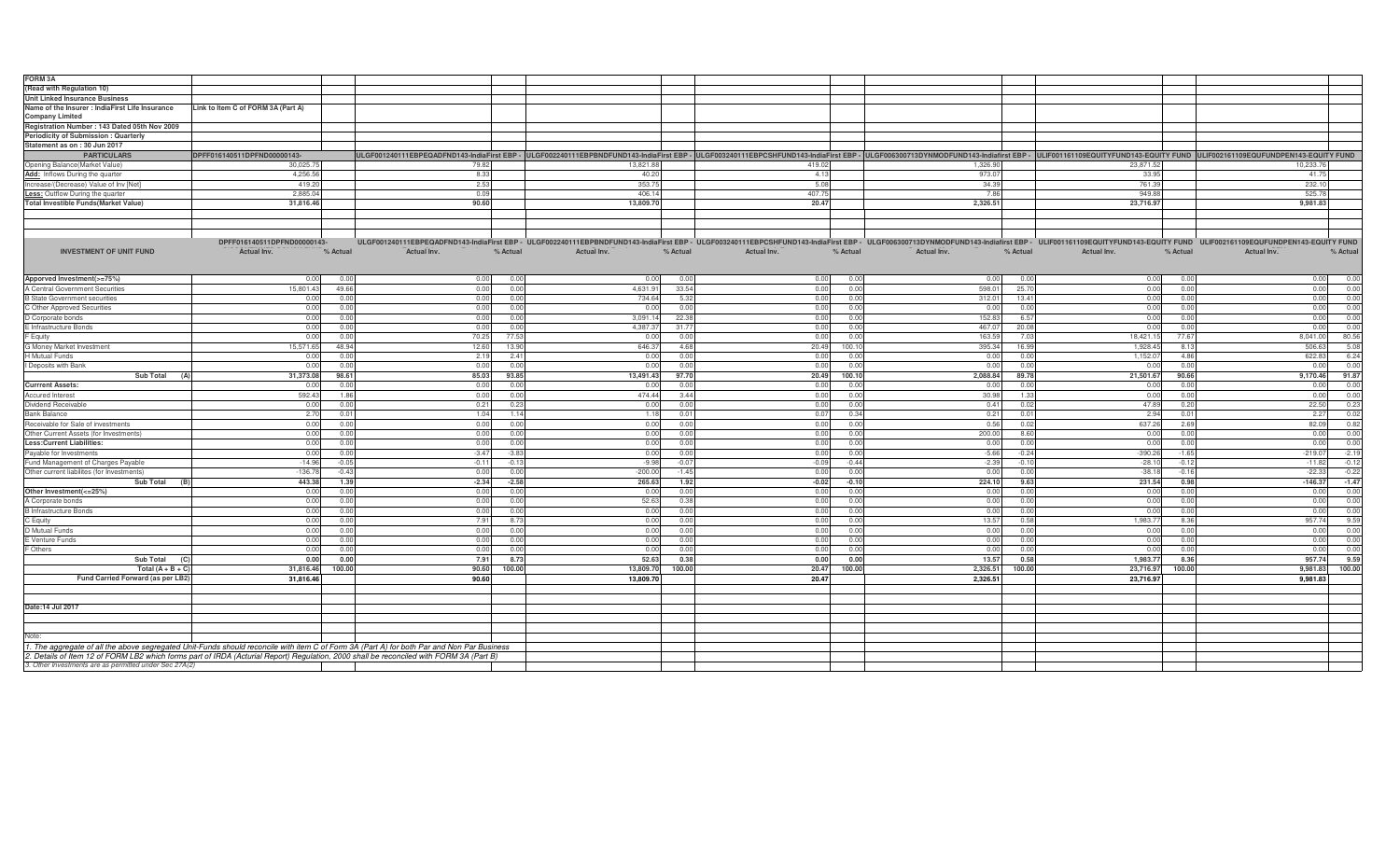| <b>FORM3A</b>                                                                                                                              |                                    |             |                |             |          |             |                |             |          |                         |                                                                                                                                                                                                                                |
|--------------------------------------------------------------------------------------------------------------------------------------------|------------------------------------|-------------|----------------|-------------|----------|-------------|----------------|-------------|----------|-------------------------|--------------------------------------------------------------------------------------------------------------------------------------------------------------------------------------------------------------------------------|
| (Read with Regulation 10)                                                                                                                  |                                    |             |                |             |          |             |                |             |          |                         |                                                                                                                                                                                                                                |
| <b>Unit Linked Insurance Business</b>                                                                                                      |                                    |             |                |             |          |             |                |             |          |                         |                                                                                                                                                                                                                                |
| Name of the Insurer : IndiaFirst Life Insurance                                                                                            | Link to Item C of FORM 3A (Part A) |             |                |             |          |             |                |             |          |                         |                                                                                                                                                                                                                                |
| <b>Company Limited</b>                                                                                                                     |                                    |             |                |             |          |             |                |             |          |                         |                                                                                                                                                                                                                                |
| Registration Number: 143 Dated 05th Nov 2009                                                                                               |                                    |             |                |             |          |             |                |             |          |                         |                                                                                                                                                                                                                                |
| Periodicity of Submission: Quarterly                                                                                                       |                                    |             |                |             |          |             |                |             |          |                         |                                                                                                                                                                                                                                |
| Statement as on: 30 Jun 2017                                                                                                               |                                    |             |                |             |          |             |                |             |          |                         |                                                                                                                                                                                                                                |
| <b>PARTICULARS</b>                                                                                                                         | DPFF016140511DPFND00000143-        |             |                |             |          |             |                |             |          |                         | ULGF001240111EBPEQADFND143-IndiaFirst EBP - ULGF002240111EBPBNDFUND143-IndiaFirst EBP - ULGF003240111EBPESHFUND143-IndiaFirst EBP - ULGF003240111EBPCSHFUND143-IndiaFirst EBP - ULGF00300713DYNMODFUND143-Indiafirst EBP - ULF |
| Opening Balance(Market Value)                                                                                                              | 30,025.75                          | 79.82       |                | 13,821.88   |          | 419.02      |                | 1,326.90    |          | 23,871.52               | 10,233.76                                                                                                                                                                                                                      |
| Add: Inflows During the quarter                                                                                                            | 4,256.56                           | 8.33        |                | 40.20       |          | 4.13        |                | 973.07      |          | 33.95                   | 41.75                                                                                                                                                                                                                          |
| Increase/(Decrease) Value of Inv [Net                                                                                                      | 419.20                             | 2.53        |                | 353.75      |          | 5.08        |                | 34.39       |          | 761.39                  | 232.10                                                                                                                                                                                                                         |
| <b>Less: Outflow During the quarter</b>                                                                                                    | 2.885.04                           | 0.09        |                | 406.14      |          | 407.75      |                | 7.86        |          | 949.88                  | 525.78                                                                                                                                                                                                                         |
| <b>Total Investible Funds (Market Value)</b>                                                                                               | 31.816.46                          | 90.60       |                | 13.809.70   |          | 20.47       |                | 2.326.51    |          | 23.716.97               | 9.981.83                                                                                                                                                                                                                       |
|                                                                                                                                            |                                    |             |                |             |          |             |                |             |          |                         |                                                                                                                                                                                                                                |
|                                                                                                                                            |                                    |             |                |             |          |             |                |             |          |                         |                                                                                                                                                                                                                                |
|                                                                                                                                            |                                    |             |                |             |          |             |                |             |          |                         |                                                                                                                                                                                                                                |
|                                                                                                                                            |                                    |             |                |             |          |             |                |             |          |                         |                                                                                                                                                                                                                                |
|                                                                                                                                            | DPFF016140511DPFND00000143-        |             |                |             |          |             |                |             |          |                         | ULGF001240111EBPEQADFND143-IndiaFirst EBP - ULGF002240111EBPBNDFUND143-IndiaFirst EBP - ULGF003240111EBPCSHFUND143-IndiaFirst EBP - ULGF006300713DYNMODFUND143-Indiafirst EBP - ULIF001161109EQUITYFUND143-EQUITY FUND ULIF002 |
| <b>INVESTMENT OF UNIT FUND</b>                                                                                                             | Actual Inv.<br>% Actual            | Actual Inv. | % Actual       | Actual Inv. | % Actual | Actual Inv. | % Actual       | Actual Inv. | % Actual | Actual Inv.<br>% Actual | Actual Inv.<br>% Actual                                                                                                                                                                                                        |
|                                                                                                                                            |                                    |             |                |             |          |             |                |             |          |                         |                                                                                                                                                                                                                                |
|                                                                                                                                            |                                    |             |                |             |          |             |                |             |          |                         |                                                                                                                                                                                                                                |
| Apporved Investment(>=75%)                                                                                                                 | 0.00<br>0.0                        | 0.00        | 0.01           | 0.00        | 0.00     | 0.00        | 0.00           | 0.00        | 0.00     | 0.00<br>0.00            | 0.00<br>0.00                                                                                                                                                                                                                   |
| A Central Government Securities                                                                                                            | 15,801.43<br>49.6                  | 0.00        | 0.01           | 4,631.91    | 33.54    | 0.00        | 0.0(           | 598.0       | 25.7     | 0.00<br>0.0             | 0.0(<br>0.00                                                                                                                                                                                                                   |
| <b>B State Government securities</b>                                                                                                       | 0.00<br>$\cap$                     | 0.00        | 0 <sub>0</sub> | 734.64      | 5.32     | 0.00        | 0.00           | 312.0       | 13.41    | 0.00<br>0 <sub>0</sub>  | 0.00<br>0.00                                                                                                                                                                                                                   |
| C Other Approved Securities                                                                                                                | 0.00<br>0.0                        | 0.00        | 0.01           | 0.00        | 0.00     | 0.00        | 0.00           | 0.00        | 0.00     | 0.00<br>0.00            | 0.00<br>0.00                                                                                                                                                                                                                   |
| D Corporate bonds                                                                                                                          | 0.00<br>0.0                        | 0.00        | 0.01           | 3,091.1     | 22.38    | 0.00        | 0.00           | 152.83      | 6.57     | 0.00<br>0.00            | 0.00<br>0.00                                                                                                                                                                                                                   |
| E Infrastructure Bonds                                                                                                                     | 0.00                               | 0.00        | 0.01           | 4,387.37    | 31.7     | 0.00        | 0.00           | 467.0       | 20.08    | 0.00<br>0.00            | 0.00<br>0.00                                                                                                                                                                                                                   |
|                                                                                                                                            |                                    |             | 77.5           |             | 0.00     |             | 0.0(           |             |          | 18,421.15<br>77.6       | 80.56<br>8,041.00                                                                                                                                                                                                              |
| Equity                                                                                                                                     | 0.00                               | 70.25       |                | 0.00        |          | 0.00        |                | 163.5       | 7.03     |                         |                                                                                                                                                                                                                                |
| G Money Market Investment                                                                                                                  | 15,571.65<br>48.94                 | 12.60       | 13.9           | 646.3       | 4.68     | 20.49       | 100.1          | 395.34      | 16.99    | 1,928.45<br>8.1         | 5.08<br>506.63                                                                                                                                                                                                                 |
| H Mutual Funds                                                                                                                             | 0.00<br>n r                        | 2.19        | 2.4            | 0.00        | 0.00     | 0.00        | 0.0(           | 0.00        | 0.00     | 1,152.07<br>4.86        | 6.24<br>622.83                                                                                                                                                                                                                 |
| Deposits with Bank                                                                                                                         | 0.00<br>0 <sub>0</sub>             | 0.00        | 0.01           | 0.00        | 0.00     | 0.00        | 0.00           | 0.00        | 0.00     | 0.00<br>0.00            | 0.00<br>0.00                                                                                                                                                                                                                   |
| <b>Sub Total</b><br>(A)                                                                                                                    | 31,373.08<br>98.61                 | 85.03       | 93.85          | 13,491.43   | 97.70    | 20.49       | 100.10         | 2,088.84    | 89.78    | 21,501.67<br>90.66      | 91.87<br>9,170.46                                                                                                                                                                                                              |
| <b>Currrent Assets:</b>                                                                                                                    | 0.00                               | 0.00        | 0.0            | 0.01        | 0.00     | 0.00        | 0.0(           | 0.00        | 0.00     | 0.00<br>0.0             | 0.0(<br>0.00                                                                                                                                                                                                                   |
| <b>Accured Interest</b>                                                                                                                    | 592.43<br>1R                       | 0.00        | 0.0(           | 474.44      | 3.44     | 0.00        | 0.00           | 30.98       | 1.33     | 0.00<br>0.0             | 0.00<br>0.00                                                                                                                                                                                                                   |
| Dividend Receivable                                                                                                                        | 0.00<br>0.0                        | 0.21        | 0.2            | 0.00        | 0.00     | 0.00        | 0 <sub>0</sub> | 0.41        | 0.02     | 47.89<br>0.2            | 0.23<br>22.50                                                                                                                                                                                                                  |
| <b>Bank Balance</b>                                                                                                                        | 2.70<br>0 <sub>0</sub>             | 1.04        | 1.14           | 1.18        | 0.01     | 0.07        | 0.34           | 0.21        | 0.01     | 2.94<br>0.0             | 0.02<br>2.27                                                                                                                                                                                                                   |
| Receivable for Sale of investments                                                                                                         | 0.00                               | 0.00        | 0.01           | 0.00        | 0.00     | 0.00        | 0.00           | 0.56        | 0.02     | 637.26<br>2.69          | 0.82<br>82.09                                                                                                                                                                                                                  |
| Other Current Assets (for Investments)                                                                                                     | 0.00<br>n r                        | 0.00        | 0.01           | 0.00        | 0.00     | 0.00        | 0.00           | 200.00      | 8.60     | 0.00<br>0.00            | 0.00<br>0.00                                                                                                                                                                                                                   |
| <b>Less:Current Liabilities:</b>                                                                                                           | 0.00<br>0.0                        | 0.00        | 0.0            | 0.00        | 0.00     | 0.00        | 0.0(           | 0.00        | 0.00     | 0.00<br>0.00            | 0.00<br>0.00                                                                                                                                                                                                                   |
| Payable for Investments                                                                                                                    | 0.00<br>0.0                        | $-3.47$     | $-3.83$        | 0.00        | 0.00     | 0.00        | 0.0(           | $-5.66$     | $-0.24$  | $-390.26$<br>$-1.65$    | $-2.19$<br>$-219.07$                                                                                                                                                                                                           |
|                                                                                                                                            | $-14.96$<br>$-0.05$                | $-0.11$     | $-0.13$        | $-9.98$     | $-0.07$  | $-0.09$     | $-0.44$        |             | $-0.10$  | $-0.12$                 | $-11.82$                                                                                                                                                                                                                       |
| Fund Management of Charges Payable                                                                                                         |                                    |             |                |             |          |             |                | $-2.39$     |          | $-28.10$                | $-0.12$                                                                                                                                                                                                                        |
| Other current liabilites (for Investments)                                                                                                 | $-136.78$<br>$-0.43$               | 0.00        | 0.01           | $-200.00$   | $-1.45$  | 0.00        | 0.00           | 0.00        | 0.00     | $-38.18$<br>$-0.16$     | $-0.22$<br>$-22.33$                                                                                                                                                                                                            |
| <b>Sub Total</b>                                                                                                                           | 443.38<br>1.39                     | $-2.34$     | $-2.58$        | 265.63      | 1.92     | $-0.02$     | $-0.10$        | 224.10      | 9.63     | 231.54<br>0.98          | $-1.47$<br>$-146.37$                                                                                                                                                                                                           |
| Other Investment(<=25%)                                                                                                                    | 0.00<br>0.0                        | 0.00        | 0.0            | 0.00        | 0.00     | 0.00        | 0.0(           | 0.00        | 0.00     | 0.00<br>0.00            | 0.00<br>0.00                                                                                                                                                                                                                   |
| A Corporate bonds                                                                                                                          | 0.00<br>0.0                        | 0.00        | 0.01           | 52.63       | 0.38     | 0.00        | 0.0(           | 0.00        | 0.00     | 0.00<br>0.0             | 0.00<br>0.00                                                                                                                                                                                                                   |
| <b>B</b> Infrastructure Bonds                                                                                                              | 0.00                               | 0.00        | 0.01           | 0.00        | 0.00     | 0.00        | 0.00           | 0.00        | 0.00     | 0.00<br>0 <sup>0</sup>  | 0.00<br>0.00                                                                                                                                                                                                                   |
| C Equity                                                                                                                                   | 0.00                               | 7.91        | 8.7            | 0.00        | 0.00     | 0.00        | 0.00           | 13.57       | 0.58     | 1,983.77<br>8.36        | 9.59<br>957.74                                                                                                                                                                                                                 |
| D Mutual Funds                                                                                                                             | 0.00<br>0.0                        | 0.00        | 0.01           | 0.00        | 0.00     | 0.00        | 0.00           | 0.00        | 0.00     | 0.00<br>0.00            | 0.00<br>0.00                                                                                                                                                                                                                   |
| E Venture Funds                                                                                                                            | 0.00                               | 0.00        | 0.0            | 0.00        | 0.00     | 0.00        | 0.0(           | 0.00        | 0.00     | 0.00<br>0.0             | 0.00<br>0.00                                                                                                                                                                                                                   |
| Others                                                                                                                                     | 0.00<br>0.0                        | 0.00        | 0.0            | 0.00        | 0.00     | 0.00        | 0.0(           | 0.00        | 0.00     | 0.00<br>0.0             | 0.00<br>0.00                                                                                                                                                                                                                   |
| Sub Total                                                                                                                                  | 0.00<br>0.00                       | 7.91        | 8.7            | 52.63       | 0.38     | 0.00        | 0.00           | 13.57       | 0.58     | 1,983.77<br>8.36        | 9.59<br>957.74                                                                                                                                                                                                                 |
| Total $(A + B + C)$                                                                                                                        | 31.816.46<br>100.00                | 90.60       | 100.00         | 13,809.70   | 100.00   | 20.47       | 100.00         | 2,326.51    | 100.00   | 23,716.97<br>100.00     | 100.00<br>9,981.83                                                                                                                                                                                                             |
| Fund Carried Forward (as per LB2)                                                                                                          | 31,816.46                          | 90.60       |                | 13,809.70   |          | 20.47       |                | 2,326.51    |          | 23,716.97               | 9,981.83                                                                                                                                                                                                                       |
|                                                                                                                                            |                                    |             |                |             |          |             |                |             |          |                         |                                                                                                                                                                                                                                |
|                                                                                                                                            |                                    |             |                |             |          |             |                |             |          |                         |                                                                                                                                                                                                                                |
|                                                                                                                                            |                                    |             |                |             |          |             |                |             |          |                         |                                                                                                                                                                                                                                |
| Date:14 Jul 2017                                                                                                                           |                                    |             |                |             |          |             |                |             |          |                         |                                                                                                                                                                                                                                |
|                                                                                                                                            |                                    |             |                |             |          |             |                |             |          |                         |                                                                                                                                                                                                                                |
|                                                                                                                                            |                                    |             |                |             |          |             |                |             |          |                         |                                                                                                                                                                                                                                |
| Note:                                                                                                                                      |                                    |             |                |             |          |             |                |             |          |                         |                                                                                                                                                                                                                                |
| 1. The aggregate of all the above segregated Unit-Funds should reconcile with item C of Form 3A (Part A) for both Par and Non Par Business |                                    |             |                |             |          |             |                |             |          |                         |                                                                                                                                                                                                                                |
| 2. Details of Item 12 of FORM LB2 which forms part of IRDA (Acturial Report) Regulation, 2000 shall be reconciled with FORM 3A (Part B)    |                                    |             |                |             |          |             |                |             |          |                         |                                                                                                                                                                                                                                |
| 3. Other Investments are as permitted under Sec 27A(2)                                                                                     |                                    |             |                |             |          |             |                |             |          |                         |                                                                                                                                                                                                                                |
|                                                                                                                                            |                                    |             |                |             |          |             |                |             |          |                         |                                                                                                                                                                                                                                |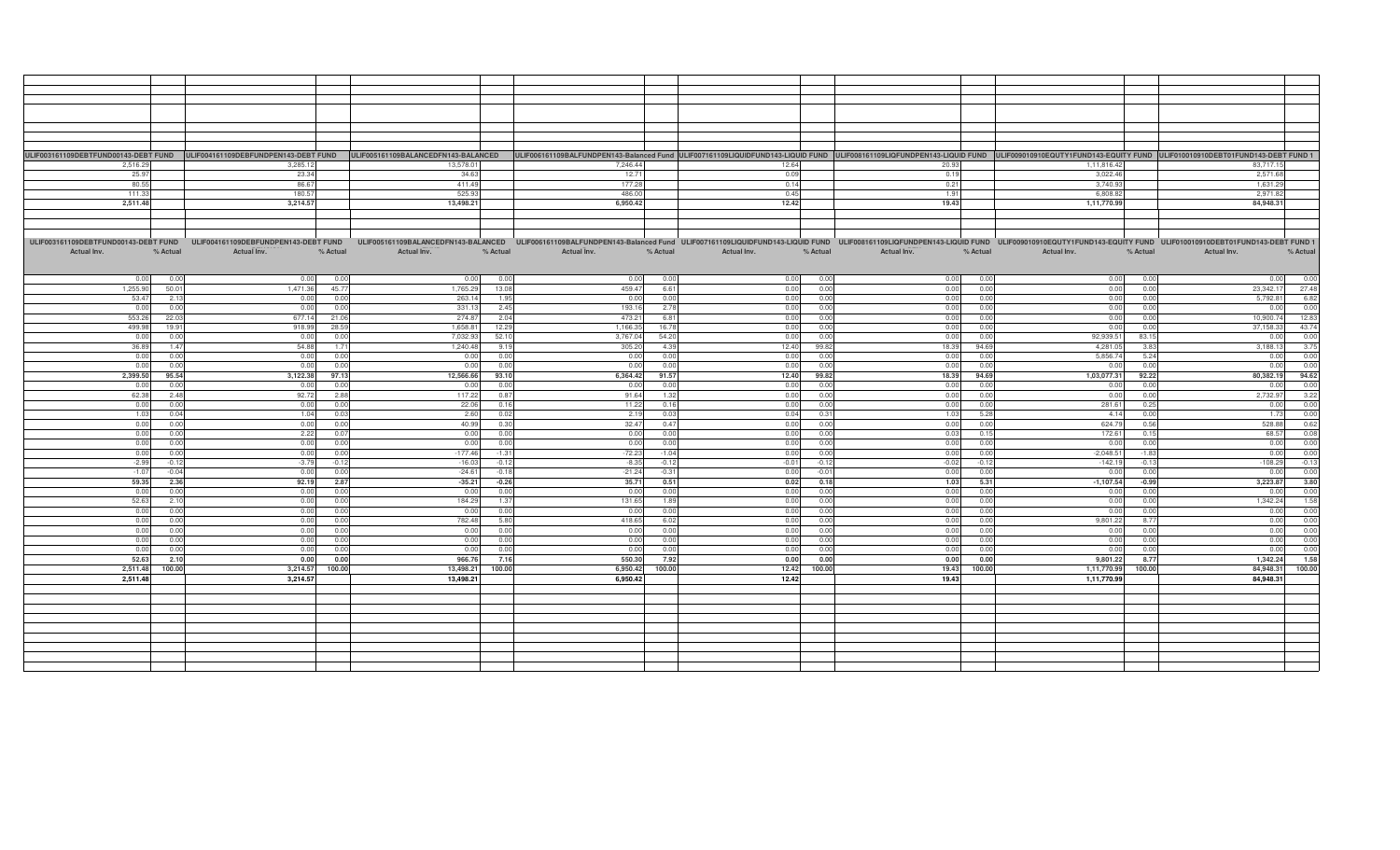|             |          |                                                                           |          |                |          |             |          |             |          |             |          | ULIF003161109DEBTFUND00143-DEBT FUND ULIF004161109DEBFUNDPEN143-DEBT FUND ULIF005161109BALANCEDFN143-BALANCEDFN143-BALANCED ULIF006161109BALANCED ULIF006161109BALANCED ULIF006161109BALANCED ULIF006161109BALFUNDPEN143-Balan |          |             |          |         |
|-------------|----------|---------------------------------------------------------------------------|----------|----------------|----------|-------------|----------|-------------|----------|-------------|----------|--------------------------------------------------------------------------------------------------------------------------------------------------------------------------------------------------------------------------------|----------|-------------|----------|---------|
| 2,516.29    |          | 3,285.12                                                                  |          | 13,578.01      |          | 7,246.44    |          | 12.64       |          | 20.93       |          | 1,11,816.42                                                                                                                                                                                                                    |          | 83.717.15   |          |         |
| 25.97       |          | 23.34                                                                     |          | 34.63          |          | 12.71       |          | 0.09        |          |             |          | 3,022.46                                                                                                                                                                                                                       |          | 2,571.68    |          |         |
|             |          |                                                                           |          |                |          |             |          |             |          | 0.19        |          |                                                                                                                                                                                                                                |          |             |          |         |
| 80.55       |          | 86.67                                                                     |          | 411.49         |          | 177.28      |          | 0.14        |          | 0.21        |          | 3,740.93                                                                                                                                                                                                                       |          | 1,631.29    |          |         |
| 111.33      |          | 180.57                                                                    |          | 525.93         |          | 486.00      |          | 0.45        |          | 1.91        |          | 6,808.82                                                                                                                                                                                                                       |          | 2,971.82    |          |         |
| 2,511.48    |          | 3,214.57                                                                  |          | 13,498.21      |          | 6,950.42    |          | 12.42       |          | 19.43       |          | 1,11,770.99                                                                                                                                                                                                                    |          | 84,948.31   |          |         |
|             |          |                                                                           |          |                |          |             |          |             |          |             |          |                                                                                                                                                                                                                                |          |             |          |         |
|             |          |                                                                           |          |                |          |             |          |             |          |             |          |                                                                                                                                                                                                                                |          |             |          |         |
|             |          |                                                                           |          |                |          |             |          |             |          |             |          |                                                                                                                                                                                                                                |          |             |          |         |
|             |          |                                                                           |          |                |          |             |          |             |          |             |          |                                                                                                                                                                                                                                |          |             |          |         |
|             |          | ULIF003161109DEBTFUND00143-DEBT FUND ULIF004161109DEBFUNDPEN143-DEBT FUND |          |                |          |             |          |             |          |             |          | ULIF005161109BALANCEDFN143-BALANCED ULIF006161109BALFUNDPEN143-Balanced Fund ULIF007161109LIQUIDFUND143-LIQUID FUND ULIF003161109LIQFUNDPEN143-LIQUID FUND ULIF009010910EQUTY1FUND143-EQUITY FUND ULIF010010910DEBT01FUND143-D |          |             |          |         |
| Actual Inv. | % Actual | Actual Inv.                                                               | % Actual | Actual Inv.    | % Actual | Actual Inv. | % Actual | Actual Inv. | % Actual | Actual Inv. | % Actual | Actual Inv.                                                                                                                                                                                                                    | % Actual | Actual Inv. | % Actual |         |
|             |          |                                                                           |          |                |          |             |          |             |          |             |          |                                                                                                                                                                                                                                |          |             |          |         |
|             |          |                                                                           |          |                |          |             |          |             |          |             |          |                                                                                                                                                                                                                                |          |             |          |         |
|             |          |                                                                           |          |                |          |             |          |             |          |             |          |                                                                                                                                                                                                                                |          |             |          |         |
| 0.00        | 0.00     | 0.00                                                                      | 0.01     | 0 <sub>0</sub> | 0.00     | 0.00        | 0.00     | 0.00        | 0.00     | 0.00        | 0.00     | 0.00                                                                                                                                                                                                                           | 0.00     | 0.00        |          | 0.00    |
| 1,255.90    | 50.01    | 1.471.36                                                                  | 45.77    | 1.765.29       | 13.08    | 459.47      | 6.61     | 0.00        | 0.00     | 0.00        | 0.00     | 0.00                                                                                                                                                                                                                           | 0.00     | 23.342.17   |          | 27.48   |
| 53.47       | 2.13     | 0.00                                                                      | 0.00     | 263.1          | 1.95     | 0.00        | 0.00     | 0.00        | 0.00     | 0.00        | 0.00     | 0.00                                                                                                                                                                                                                           | 0.00     | 5,792.81    |          | 6.82    |
| 0.00        | 0.00     | 0.00                                                                      | 0.0      | 331.1          | 2.45     | 193.16      | 2.78     | 0.00        | 0.00     | 0.00        | 0.00     | 0.00                                                                                                                                                                                                                           | 0.00     | 0.00        |          | 0.00    |
|             |          |                                                                           |          |                |          |             |          |             |          |             |          |                                                                                                                                                                                                                                |          |             |          |         |
| 553.26      | 22.03    | 677.14                                                                    | 21.06    | 274.8          | 2.04     | 473.21      | 6.81     | 0.00        | 0.00     | 0.00        | 0.00     | 0.00                                                                                                                                                                                                                           | 0.00     | 10,900.74   |          | 12.83   |
| 499.98      | 19.91    | 918.99                                                                    | 28.59    | 1,658.8        | 12.29    | 1,166.35    | 16.78    | 0.00        | 0.00     | 0.00        | 0.00     | 0.00                                                                                                                                                                                                                           | 0.00     | 37,158.33   |          | 43.74   |
| 0.00        | 0.00     | 0.00                                                                      | 0.00     | 7,032.9        | 52.10    | 3,767.04    | 54.20    | 0.00        | 0.00     | 0.00        | 0.00     | 92,939.51                                                                                                                                                                                                                      | 83.15    | 0.00        |          | 0.00    |
| 36.89       | 1.47     | 54.88                                                                     | 1.71     | 1.240.4        | 9.19     | 305.20      | 4.39     | 12.40       | 99.82    | 18.39       | 94.69    | 4.281.05                                                                                                                                                                                                                       | 3.83     | 3.188.13    |          | 3.75    |
|             |          |                                                                           |          |                |          |             |          |             |          |             |          |                                                                                                                                                                                                                                | 5.24     |             |          | 0.00    |
| 0.00        | 0.00     | 0.00                                                                      | 0.00     | 0.01           | 0.00     | 0.00        | 0.00     | 0.00        | 0.00     | 0.00        | 0.00     | 5,856.74                                                                                                                                                                                                                       |          | 0.00        |          |         |
| 0.00        | 0.00     | 0.00                                                                      | 0.0      | 0.0            | 0.00     | 0.00        | 0.00     | 0.00        | 0.00     | 0.00        | 0.00     | 0.00                                                                                                                                                                                                                           | 0.00     | 0.00        |          | 0.00    |
| 2,399.50    | 95.54    | 3,122.38                                                                  | 97.13    | 12,566.66      | 93.10    | 6,364.42    | 91.57    | 12.40       | 99.82    | 18.39       | 94.69    | 1,03,077.31                                                                                                                                                                                                                    | 92.22    | 80,382.19   |          | 94.62   |
| 0.00        | 0.00     | 0.00                                                                      | 0.00     | . n n          | 0.00     | 0.00        | 0.00     | 0.00        | 0.00     | 0.00        | 0.00     | 0.00                                                                                                                                                                                                                           | 0.00     | 0.00        |          | 0.00    |
| 62.38       | 2.48     | 92.72                                                                     | 2.88     | 117.2          | 0.87     | 91.64       | 1.32     | 0.00        | 0.00     | 0.00        | 0.00     | 0.00                                                                                                                                                                                                                           | 0.00     | 2,732.97    |          | 3.22    |
|             |          |                                                                           |          |                |          |             |          |             |          |             |          |                                                                                                                                                                                                                                |          |             |          |         |
| 0.00        | 0.00     | 0.00                                                                      | 0.00     | 22.06          | 0.16     | 11.22       | 0.16     | 0.00        | 0.00     | 0.00        | 0.00     | 281.61                                                                                                                                                                                                                         | 0.25     | 0.00        |          | 0.00    |
| 1.03        | 0.04     | 1.04                                                                      | 0.03     | 2.60           | 0.02     | 2.19        | 0.03     | 0.04        | 0.31     | 1.03        | 5.28     | 4.14                                                                                                                                                                                                                           | 0.00     | 1.73        |          | 0.00    |
| 0.00        | 0.00     | 0.00                                                                      | 0.0      | 40.9           | 0.30     | 32.47       | 0.47     | 0.00        | 0.00     | 0.00        | 0.00     | 624.79                                                                                                                                                                                                                         | 0.56     | 528.88      |          | 0.62    |
| 0.00        | 0.00     | 2.22                                                                      | 0.07     | 0.00           | 0.00     | 0.00        | 0.00     | 0.00        | 0.00     | 0.03        | 0.15     | 172.61                                                                                                                                                                                                                         | 0.15     | 68.57       |          | 0.08    |
| 0.00        | 0.00     | 0.00                                                                      | 0.0      | 0.01           | 0.00     | 0.00        | 0.00     | 0.00        | 0.00     | 0.00        | 0.00     | 0.00                                                                                                                                                                                                                           | 0.00     | 0.00        |          | 0.00    |
|             |          |                                                                           |          |                |          |             |          |             |          |             |          |                                                                                                                                                                                                                                |          |             |          |         |
| 0.00        | 0.00     | 0.00                                                                      | 0.00     | $-177.46$      | $-1.31$  | $-72.23$    | $-1.04$  | 0.00        | 0.00     | 0.00        | 0.00     | $-2.048.51$                                                                                                                                                                                                                    | $-1.83$  | 0.00        |          | 0.00    |
| $-2.99$     | $-0.12$  | $-3.79$                                                                   | $-0.12$  | $-16.03$       | $-0.12$  | $-8.35$     | $-0.12$  | $-0.01$     | $-0.12$  | $-0.02$     | $-0.12$  | $-142.19$                                                                                                                                                                                                                      | $-0.13$  | $-108.29$   |          | $-0.13$ |
| $-1.07$     | $-0.04$  | 0.00                                                                      | 0.0      | $-24.6$        | $-0.18$  | $-21.24$    | $-0.31$  | 0.00        | $-0.01$  | 0.00        | 0.00     | 0.00                                                                                                                                                                                                                           | 0.00     | 0.00        |          | 0.00    |
| 59.35       | 2.36     | 92.19                                                                     | 2.87     | $-35.21$       | $-0.26$  | 35.71       | 0.51     | 0.02        | 0.18     | 1.03        | 5.31     | $-1,107.54$                                                                                                                                                                                                                    | $-0.99$  | 3,223.87    |          | 3.80    |
|             |          |                                                                           |          |                |          |             |          |             |          |             |          |                                                                                                                                                                                                                                |          |             |          |         |
| 0.00        | 0.00     | 0.00                                                                      | 0.0      | 0.0            | 0.00     | 0.00        | 0.00     | 0.00        | 0.00     | 0.00        | 0.00     | 0.00                                                                                                                                                                                                                           | 0.00     | 0.00        |          | 0.00    |
| 52.63       | 2.10     | 0.00                                                                      | 0.0      | 184.29         | 1.37     | 131.65      | 1.89     | 0.00        | 0.00     | 0.00        | 0.00     | 0.00                                                                                                                                                                                                                           | 0.00     | 1,342.24    |          | 1.58    |
| 0.00        | 0.00     | 0.00                                                                      | 0.00     | 0.00           | 0.00     | 0.00        | 0.00     | 0.00        | 0.00     | 0.00        | 0.00     | 0.00                                                                                                                                                                                                                           | 0.00     | 0.00        |          | 0.00    |
| 0.00        | 0.00     | 0.00                                                                      | 0.0      | 782.48         | 5.80     | 418.65      | 6.02     | 0.00        | 0.00     | 0.00        | 0.00     | 9,801.22                                                                                                                                                                                                                       | 8.77     | 0.00        |          | 0.00    |
| 0.00        | 0.00     | 0.00                                                                      | 0.00     | 0.0            | 0.00     | 0.00        | 0.00     | 0.00        | 0.00     | 0.00        | 0.00     | 0.00                                                                                                                                                                                                                           | 0.00     | 0.00        |          | 0.00    |
|             |          |                                                                           |          |                |          |             |          |             |          |             |          |                                                                                                                                                                                                                                |          |             |          |         |
| 0.00        | 0.00     | 0.00                                                                      | 0.0      | 0.0            | 0.00     | 0.00        | 0.00     | 0.00        | 0.00     | 0.00        | 0.00     | 0.00                                                                                                                                                                                                                           | 0.00     | 0.00        |          | 0.00    |
| 0.00        | 0.00     | 0.00                                                                      | 0.00     | 0.01           | 0.00     | 0.00        | 0.00     | 0.00        | 0.00     | 0.00        | 0.00     | 0.00                                                                                                                                                                                                                           | 0.00     | 0.00        |          | 0.00    |
| 52.63       | 2.10     | 0.00                                                                      | 0.00     | 966.7          | 7.16     | 550.30      | 7.92     | 0.00        | 0.00     | 0.00        | 0.00     | 9,801.22                                                                                                                                                                                                                       | 8.77     | 1,342.24    |          | 1.58    |
| 2,511.48    | 100.00   | 3,214.57                                                                  | 100.00   | 13,498.21      | 100.00   | 6,950.42    | 100.00   | 12.42       | 100.00   | 19.43       | 100.00   | 1,11,770.99                                                                                                                                                                                                                    | 100.00   | 84,948.31   |          | 100.00  |
| 2,511.48    |          | 3,214.57                                                                  |          | 13,498.21      |          | 6,950.42    |          | 12.42       |          | 19.43       |          | 1,11,770.99                                                                                                                                                                                                                    |          | 84.948.31   |          |         |
|             |          |                                                                           |          |                |          |             |          |             |          |             |          |                                                                                                                                                                                                                                |          |             |          |         |
|             |          |                                                                           |          |                |          |             |          |             |          |             |          |                                                                                                                                                                                                                                |          |             |          |         |
|             |          |                                                                           |          |                |          |             |          |             |          |             |          |                                                                                                                                                                                                                                |          |             |          |         |
|             |          |                                                                           |          |                |          |             |          |             |          |             |          |                                                                                                                                                                                                                                |          |             |          |         |
|             |          |                                                                           |          |                |          |             |          |             |          |             |          |                                                                                                                                                                                                                                |          |             |          |         |
|             |          |                                                                           |          |                |          |             |          |             |          |             |          |                                                                                                                                                                                                                                |          |             |          |         |
|             |          |                                                                           |          |                |          |             |          |             |          |             |          |                                                                                                                                                                                                                                |          |             |          |         |
|             |          |                                                                           |          |                |          |             |          |             |          |             |          |                                                                                                                                                                                                                                |          |             |          |         |
|             |          |                                                                           |          |                |          |             |          |             |          |             |          |                                                                                                                                                                                                                                |          |             |          |         |
|             |          |                                                                           |          |                |          |             |          |             |          |             |          |                                                                                                                                                                                                                                |          |             |          |         |
|             |          |                                                                           |          |                |          |             |          |             |          |             |          |                                                                                                                                                                                                                                |          |             |          |         |
|             |          |                                                                           |          |                |          |             |          |             |          |             |          |                                                                                                                                                                                                                                |          |             |          |         |